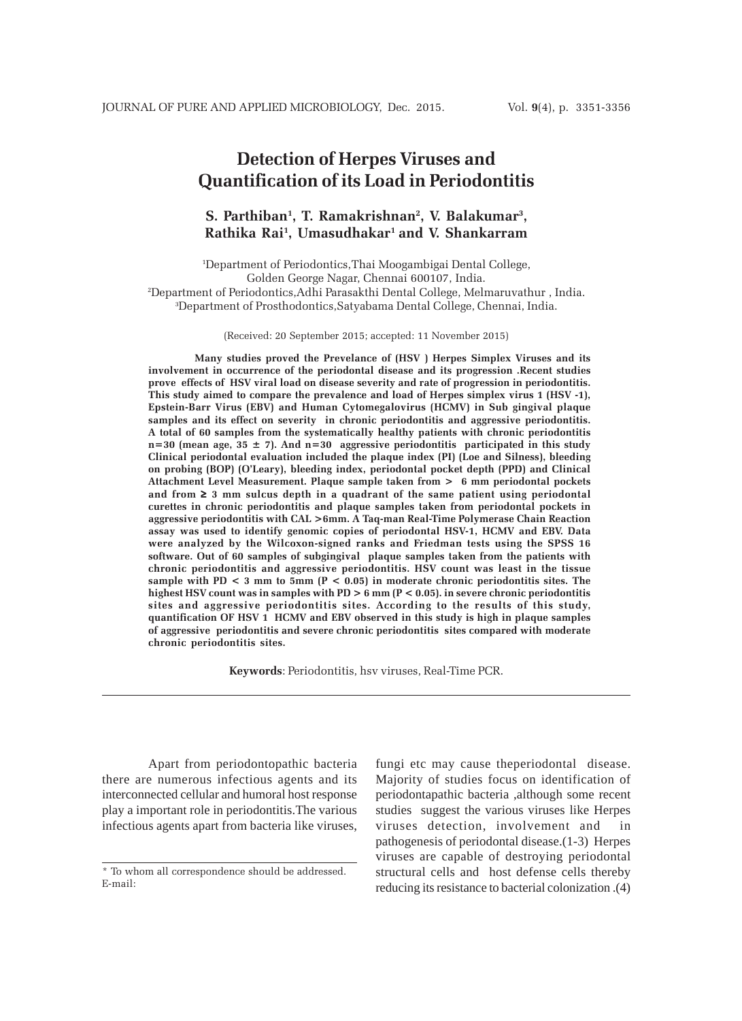# **Detection of Herpes Viruses and Quantification of its Load in Periodontitis**

# **S. Parthiban1 , T. Ramakrishnan2 , V. Balakumar3 , Rathika Rai1 , Umasudhakar1 and V. Shankarram**

 Department of Periodontics,Thai Moogambigai Dental College, Golden George Nagar, Chennai 600107, India. Department of Periodontics,Adhi Parasakthi Dental College, Melmaruvathur , India. Department of Prosthodontics,Satyabama Dental College, Chennai, India.

(Received: 20 September 2015; accepted: 11 November 2015)

**Many studies proved the Prevelance of (HSV ) Herpes Simplex Viruses and its involvement in occurrence of the periodontal disease and its progression .Recent studies prove effects of HSV viral load on disease severity and rate of progression in periodontitis. This study aimed to compare the prevalence and load of Herpes simplex virus 1 (HSV -1), Epstein-Barr Virus (EBV) and Human Cytomegalovirus (HCMV) in Sub gingival plaque samples and its effect on severity in chronic periodontitis and aggressive periodontitis. A total of 60 samples from the systematically healthy patients with chronic periodontitis n=30 (mean age, 35 ± 7). And n=30 aggressive periodontitis participated in this study Clinical periodontal evaluation included the plaque index (PI) (Loe and Silness), bleeding on probing (BOP) (O'Leary), bleeding index, periodontal pocket depth (PPD) and Clinical Attachment Level Measurement. Plaque sample taken from > 6 mm periodontal pockets and from** ≥ **3 mm sulcus depth in a quadrant of the same patient using periodontal curettes in chronic periodontitis and plaque samples taken from periodontal pockets in aggressive periodontitis with CAL >6mm. A Taq-man Real-Time Polymerase Chain Reaction assay was used to identify genomic copies of periodontal HSV-1, HCMV and EBV. Data were analyzed by the Wilcoxon-signed ranks and Friedman tests using the SPSS 16 software. Out of 60 samples of subgingival plaque samples taken from the patients with chronic periodontitis and aggressive periodontitis. HSV count was least in the tissue sample with PD < 3 mm to 5mm (P < 0.05) in moderate chronic periodontitis sites. The highest HSV count was in samples with PD > 6 mm (P < 0.05). in severe chronic periodontitis sites and aggressive periodontitis sites. According to the results of this study, quantification OF HSV 1 HCMV and EBV observed in this study is high in plaque samples of aggressive periodontitis and severe chronic periodontitis sites compared with moderate chronic periodontitis sites.**

**Keywords**: Periodontitis, hsv viruses, Real-Time PCR.

Apart from periodontopathic bacteria there are numerous infectious agents and its interconnected cellular and humoral host response play a important role in periodontitis.The various infectious agents apart from bacteria like viruses,

fungi etc may cause theperiodontal disease. Majority of studies focus on identification of periodontapathic bacteria ,although some recent studies suggest the various viruses like Herpes viruses detection, involvement and in pathogenesis of periodontal disease.(1-3) Herpes viruses are capable of destroying periodontal structural cells and host defense cells thereby reducing its resistance to bacterial colonization .(4)

<sup>\*</sup> To whom all correspondence should be addressed. E-mail: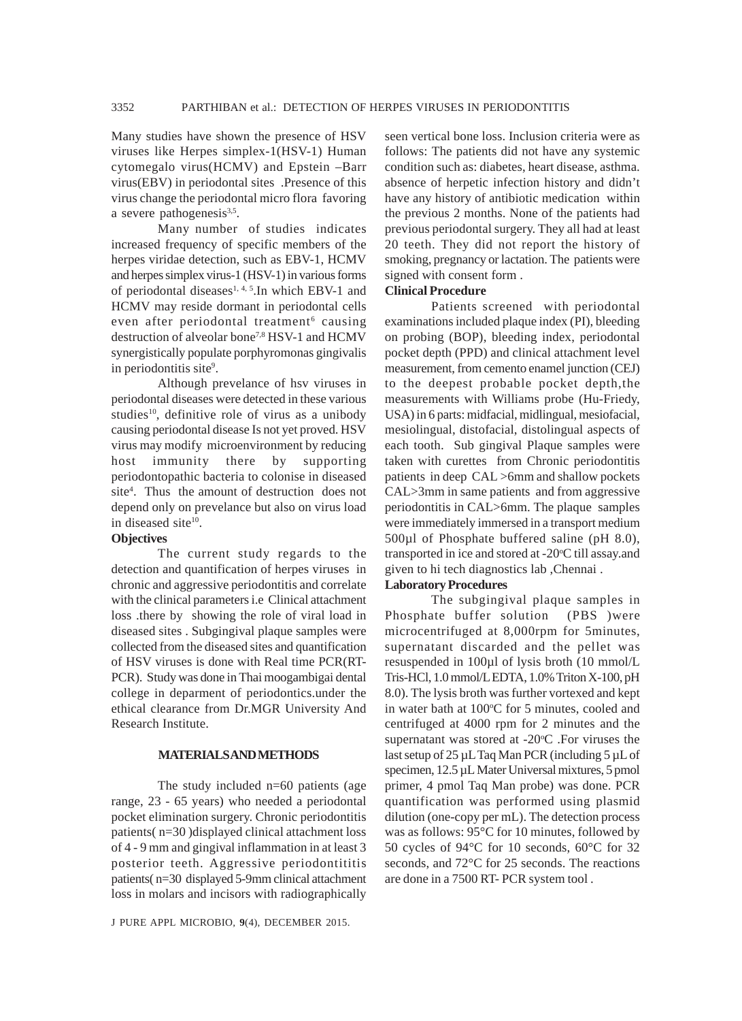Many studies have shown the presence of HSV viruses like Herpes simplex-1(HSV-1) Human cytomegalo virus(HCMV) and Epstein –Barr virus(EBV) in periodontal sites .Presence of this virus change the periodontal micro flora favoring a severe pathogenesis $3,5$ .

Many number of studies indicates increased frequency of specific members of the herpes viridae detection, such as EBV-1, HCMV and herpes simplex virus-1 (HSV-1) in various forms of periodontal diseases<sup>1, 4, 5</sup>.In which EBV-1 and HCMV may reside dormant in periodontal cells even after periodontal treatment<sup>6</sup> causing destruction of alveolar bone7,8 HSV-1 and HCMV synergistically populate porphyromonas gingivalis in periodontitis site<sup>9</sup>.

Although prevelance of hsv viruses in periodontal diseases were detected in these various studies<sup>10</sup>, definitive role of virus as a unibody causing periodontal disease Is not yet proved. HSV virus may modify microenvironment by reducing host immunity there by supporting periodontopathic bacteria to colonise in diseased site<sup>4</sup>. Thus the amount of destruction does not depend only on prevelance but also on virus load in diseased site<sup>10</sup>.

### **Objectives**

The current study regards to the detection and quantification of herpes viruses in chronic and aggressive periodontitis and correlate with the clinical parameters i.e Clinical attachment loss .there by showing the role of viral load in diseased sites . Subgingival plaque samples were collected from the diseased sites and quantification of HSV viruses is done with Real time PCR(RT-PCR). Study was done in Thai moogambigai dental college in deparment of periodontics.under the ethical clearance from Dr.MGR University And Research Institute.

#### **MATERIALS AND METHODS**

The study included n=60 patients (age range, 23 - 65 years) who needed a periodontal pocket elimination surgery. Chronic periodontitis patients( n=30 )displayed clinical attachment loss of 4 - 9 mm and gingival inflammation in at least 3 posterior teeth. Aggressive periodontititis patients( n=30 displayed 5-9mm clinical attachment loss in molars and incisors with radiographically

J PURE APPL MICROBIO*,* **9**(4), DECEMBER 2015.

seen vertical bone loss. Inclusion criteria were as follows: The patients did not have any systemic condition such as: diabetes, heart disease, asthma. absence of herpetic infection history and didn't have any history of antibiotic medication within the previous 2 months. None of the patients had previous periodontal surgery. They all had at least 20 teeth. They did not report the history of smoking, pregnancy or lactation. The patients were signed with consent form .

## **Clinical Procedure**

Patients screened with periodontal examinations included plaque index (PI), bleeding on probing (BOP), bleeding index, periodontal pocket depth (PPD) and clinical attachment level measurement, from cemento enamel junction (CEJ) to the deepest probable pocket depth,the measurements with Williams probe (Hu-Friedy, USA) in 6 parts: midfacial, midlingual, mesiofacial, mesiolingual, distofacial, distolingual aspects of each tooth. Sub gingival Plaque samples were taken with curettes from Chronic periodontitis patients in deep CAL >6mm and shallow pockets CAL>3mm in same patients and from aggressive periodontitis in CAL>6mm. The plaque samples were immediately immersed in a transport medium 500µl of Phosphate buffered saline (pH 8.0), transported in ice and stored at -20°C till assay.and given to hi tech diagnostics lab ,Chennai .

#### **Laboratory Procedures**

The subgingival plaque samples in Phosphate buffer solution (PBS )were microcentrifuged at 8,000rpm for 5minutes, supernatant discarded and the pellet was resuspended in 100µl of lysis broth (10 mmol/L Tris-HCl, 1.0 mmol/L EDTA, 1.0% Triton X-100, pH 8.0). The lysis broth was further vortexed and kept in water bath at 100°C for 5 minutes, cooled and centrifuged at 4000 rpm for 2 minutes and the supernatant was stored at -20°C .For viruses the last setup of 25 µL Taq Man PCR (including 5 µL of specimen, 12.5 µL Mater Universal mixtures, 5 pmol primer, 4 pmol Taq Man probe) was done. PCR quantification was performed using plasmid dilution (one-copy per mL). The detection process was as follows: 95°C for 10 minutes, followed by 50 cycles of 94 °C for 10 seconds, 60 °C for 32 seconds, and 72°C for 25 seconds. The reactions are done in a 7500 RT- PCR system tool .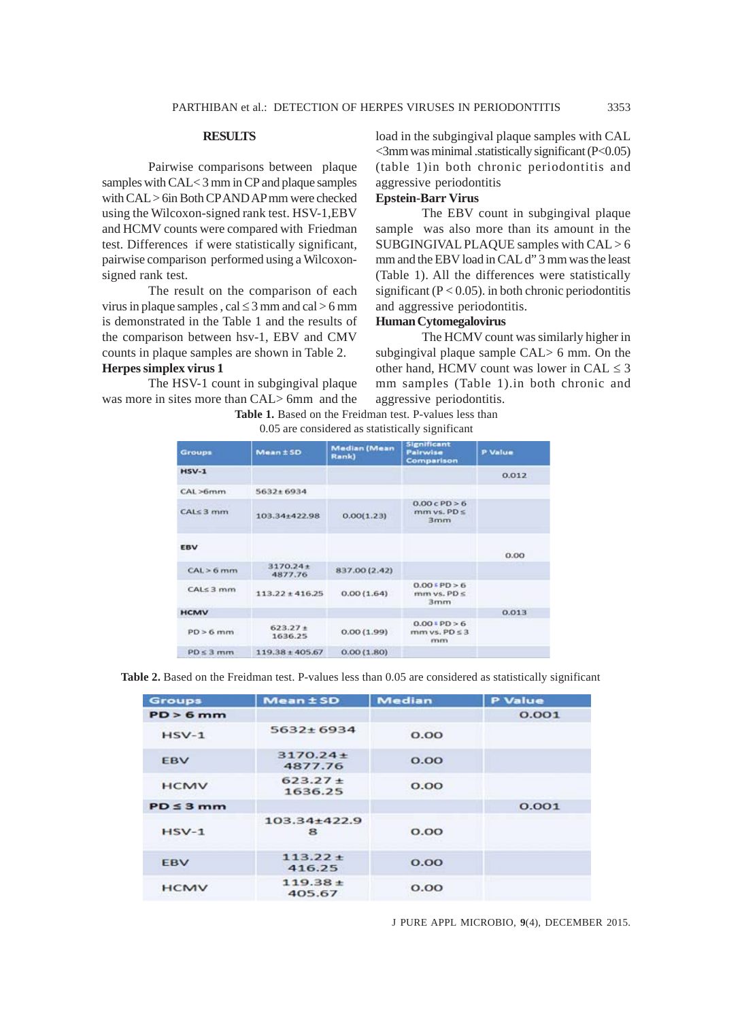#### **RESULTS**

Pairwise comparisons between plaque samples with CAL< 3 mm in CP and plaque samples with CAL > 6in Both CP AND AP mm were checked using the Wilcoxon-signed rank test. HSV-1,EBV and HCMV counts were compared with Friedman test. Differences if were statistically significant, pairwise comparison performed using a Wilcoxonsigned rank test.

The result on the comparison of each virus in plaque samples,  $cal \leq 3$  mm and  $cal > 6$  mm is demonstrated in the Table 1 and the results of the comparison between hsv-1, EBV and CMV counts in plaque samples are shown in Table 2.

## **Herpes simplex virus 1**

The HSV-1 count in subgingival plaque was more in sites more than CAL> 6mm and the load in the subgingival plaque samples with CAL  $\leq$ 3mm was minimal .statistically significant (P $\leq$ 0.05) (table 1)in both chronic periodontitis and aggressive periodontitis

# **Epstein-Barr Virus**

The EBV count in subgingival plaque sample was also more than its amount in the SUBGINGIVAL PLAQUE samples with CAL > 6 mm and the EBV load in CAL d" 3 mm was the least (Table 1). All the differences were statistically significant ( $P < 0.05$ ). in both chronic periodontitis and aggressive periodontitis.

### **Human Cytomegalovirus**

The HCMV count was similarly higher in subgingival plaque sample CAL> 6 mm. On the other hand, HCMV count was lower in  $CAL \leq 3$ mm samples (Table 1).in both chronic and aggressive periodontitis.

|  | <b>Table 1.</b> Based on the Freidman test. P-values less than |  |  |
|--|----------------------------------------------------------------|--|--|
|  |                                                                |  |  |

| <b>Groups</b>   | Mean ± SD                | <b>Median (Mean</b><br><b>Rank</b> ) | <b>Significant</b><br><b>Pairwise</b><br>Comparison | <b>P</b> Value |
|-----------------|--------------------------|--------------------------------------|-----------------------------------------------------|----------------|
| $HSV-1$         |                          |                                      |                                                     | 0.012          |
| CAL >6mm        | $5632 \pm 6934$          |                                      |                                                     |                |
| $CAL \leq 3$ mm | 103.34+422.98            | 0.00(1.23)                           | 0.00cPD > 6<br>$mm vs. PD \leq$<br>3mm              |                |
| <b>EBV</b>      |                          |                                      |                                                     | 0.00           |
| CAL > 6 mm      | $3170.24 \pm$<br>4877.76 | 837.00 (2.42)                        |                                                     |                |
| CALS3mm         | $113.22 \pm 416.25$      | 0.00(1.64)                           | 0.00 FPD > 6<br>$m m vs. PD \leq$<br>3mm            |                |
| <b>HCMV</b>     |                          |                                      |                                                     | 0.013          |
| $PD > 6$ mm     | $623.27 +$<br>1636.25    | 0.00(1.99)                           | $0.001$ PD > 6<br>$mm vs. PD \leq 3$<br>mm          |                |
| $PD \leq 3$ mm  | $119.38 \pm 405.67$      | 0.00(1.80)                           |                                                     |                |

0.05 are considered as statistically significant

**Table 2.** Based on the Freidman test. P-values less than 0.05 are considered as statistically significant

| <b>Groups</b>  | <b>Mean ± SD</b>        | <b>Median</b> | <b>P</b> Value |
|----------------|-------------------------|---------------|----------------|
| $PD > 6$ mm    |                         |               | 0.001          |
| $HSV-1$        | $5632 + 6934$           | O.OO          |                |
| <b>EBV</b>     | $3170.24 +$<br>4877.76  | O.OO          |                |
| <b>HCMV</b>    | $623.27 \pm$<br>1636.25 | O.OO          |                |
| $PD \leq 3$ mm |                         |               | 0.001          |
| $HSV-1$        | $103.34 + 422.9$<br>8   | O.OO          |                |
| <b>FBV</b>     | $113.22 +$<br>416.25    | O.OO          |                |
| <b>HCMV</b>    | $119.38 \pm$<br>405.67  | O.OO          |                |

J PURE APPL MICROBIO*,* **9**(4), DECEMBER 2015.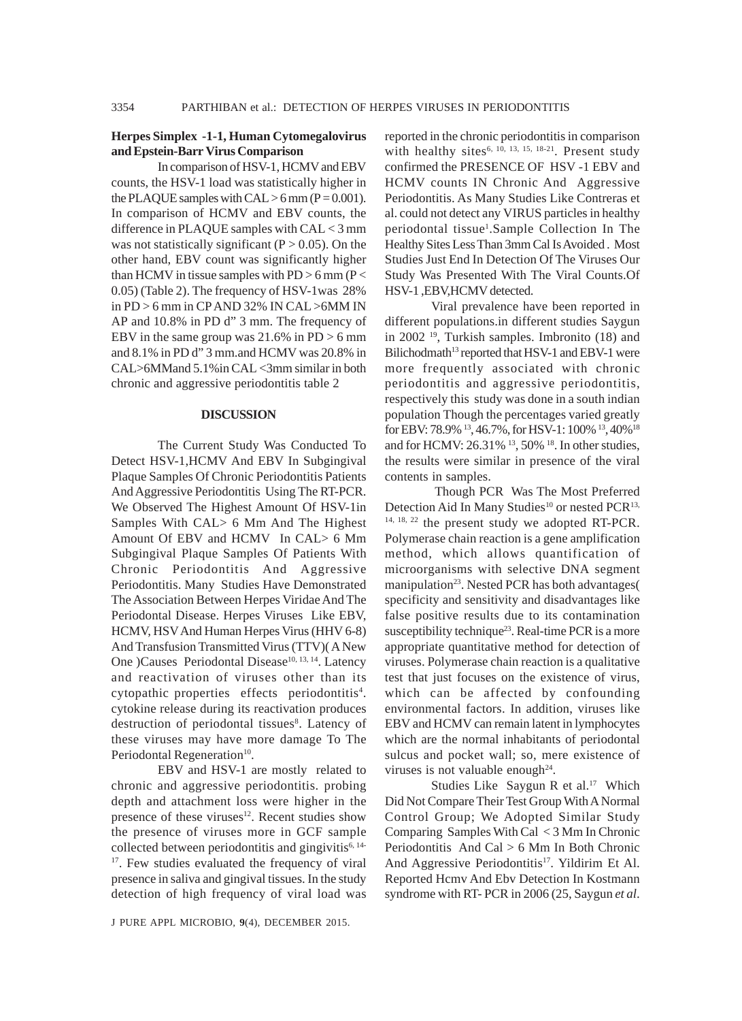### **Herpes Simplex -1-1, Human Cytomegalovirus and Epstein-Barr Virus Comparison**

In comparison of HSV-1, HCMV and EBV counts, the HSV-1 load was statistically higher in the PLAQUE samples with  $CAL > 6$  mm ( $P = 0.001$ ). In comparison of HCMV and EBV counts, the difference in PLAQUE samples with CAL < 3 mm was not statistically significant  $(P > 0.05)$ . On the other hand, EBV count was significantly higher than HCMV in tissue samples with  $PD > 6$  mm (P  $<$ 0.05) (Table 2). The frequency of HSV-1was 28% in PD > 6 mm in CP AND 32% IN CAL >6MM IN AP and 10.8% in PD d" 3 mm. The frequency of EBV in the same group was  $21.6\%$  in PD  $> 6$  mm and 8.1% in PD d" 3 mm.and HCMV was 20.8% in CAL>6MMand 5.1%in CAL <3mm similar in both chronic and aggressive periodontitis table 2

#### **DISCUSSION**

The Current Study Was Conducted To Detect HSV-1,HCMV And EBV In Subgingival Plaque Samples Of Chronic Periodontitis Patients And Aggressive Periodontitis Using The RT-PCR. We Observed The Highest Amount Of HSV-1in Samples With CAL> 6 Mm And The Highest Amount Of EBV and HCMV In CAL> 6 Mm Subgingival Plaque Samples Of Patients With Chronic Periodontitis And Aggressive Periodontitis. Many Studies Have Demonstrated The Association Between Herpes Viridae And The Periodontal Disease. Herpes Viruses Like EBV, HCMV, HSV And Human Herpes Virus (HHV 6-8) And Transfusion Transmitted Virus (TTV)( A New One )Causes Periodontal Disease<sup>10, 13, 14</sup>. Latency and reactivation of viruses other than its cytopathic properties effects periodontitis<sup>4</sup>. cytokine release during its reactivation produces destruction of periodontal tissues<sup>8</sup>. Latency of these viruses may have more damage To The Periodontal Regeneration<sup>10</sup>.

EBV and HSV-1 are mostly related to chronic and aggressive periodontitis. probing depth and attachment loss were higher in the presence of these viruses $12$ . Recent studies show the presence of viruses more in GCF sample collected between periodontitis and gingivitis $6,14$ -<sup>17</sup>. Few studies evaluated the frequency of viral presence in saliva and gingival tissues. In the study detection of high frequency of viral load was

J PURE APPL MICROBIO*,* **9**(4), DECEMBER 2015.

reported in the chronic periodontitis in comparison with healthy sites<sup>6, 10, 13, 15, 18-21</sup>. Present study confirmed the PRESENCE OF HSV -1 EBV and HCMV counts IN Chronic And Aggressive Periodontitis. As Many Studies Like Contreras et al. could not detect any VIRUS particles in healthy periodontal tissue<sup>1</sup>.Sample Collection In The Healthy Sites Less Than 3mm Cal Is Avoided . Most Studies Just End In Detection Of The Viruses Our Study Was Presented With The Viral Counts.Of HSV-1 ,EBV,HCMV detected.

Viral prevalence have been reported in different populations.in different studies Saygun in 2002 19, Turkish samples. Imbronito (18) and Bilichodmath<sup>13</sup> reported that HSV-1 and EBV-1 were more frequently associated with chronic periodontitis and aggressive periodontitis, respectively this study was done in a south indian population Though the percentages varied greatly for EBV: 78.9% 13, 46.7%, for HSV-1: 100% 13, 40%18 and for HCMV: 26.31%<sup>13</sup>, 50%<sup>18</sup>. In other studies, the results were similar in presence of the viral contents in samples.

 Though PCR Was The Most Preferred Detection Aid In Many Studies<sup>10</sup> or nested PCR<sup>13,</sup> 14, 18, 22 the present study we adopted RT-PCR. Polymerase chain reaction is a gene amplification method, which allows quantification of microorganisms with selective DNA segment manipulation<sup>23</sup>. Nested PCR has both advantages( specificity and sensitivity and disadvantages like false positive results due to its contamination susceptibility technique<sup>23</sup>. Real-time PCR is a more appropriate quantitative method for detection of viruses. Polymerase chain reaction is a qualitative test that just focuses on the existence of virus, which can be affected by confounding environmental factors. In addition, viruses like EBV and HCMV can remain latent in lymphocytes which are the normal inhabitants of periodontal sulcus and pocket wall; so, mere existence of viruses is not valuable enough $24$ .

Studies Like Saygun R et al.<sup>17</sup> Which Did Not Compare Their Test Group With A Normal Control Group; We Adopted Similar Study Comparing Samples With Cal < 3 Mm In Chronic Periodontitis And Cal > 6 Mm In Both Chronic And Aggressive Periodontitis<sup>17</sup>. Yildirim Et Al. Reported Hcmv And Ebv Detection In Kostmann syndrome with RT- PCR in 2006 (25, Saygun *et al*.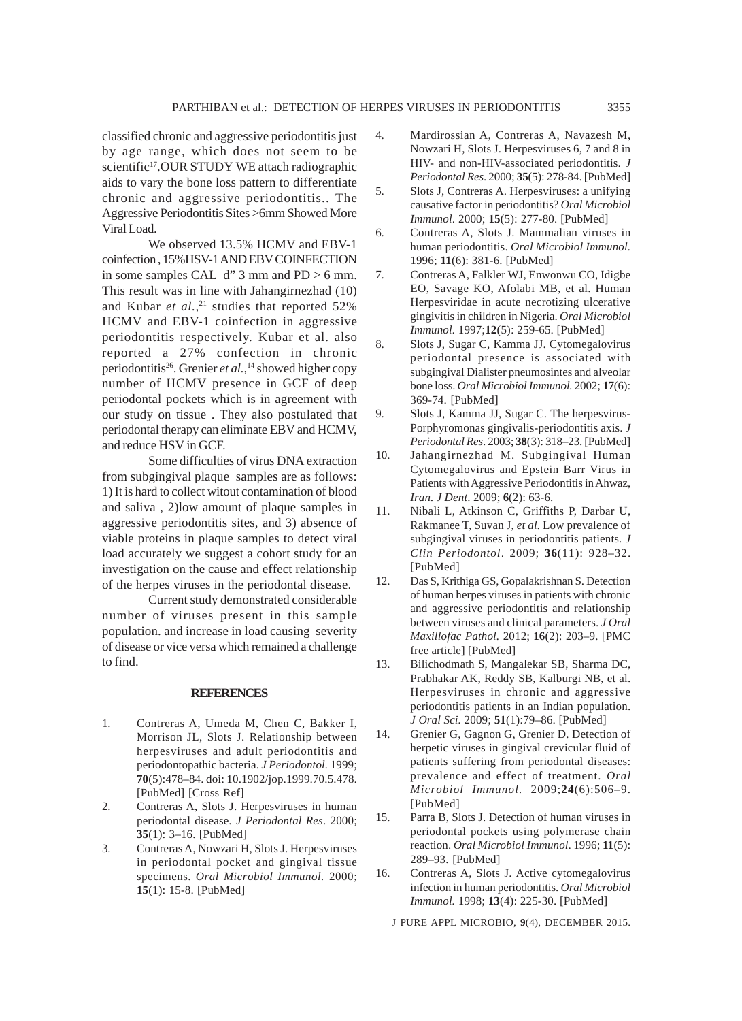classified chronic and aggressive periodontitis just by age range, which does not seem to be scientific<sup>17</sup>.OUR STUDY WE attach radiographic aids to vary the bone loss pattern to differentiate chronic and aggressive periodontitis.. The Aggressive Periodontitis Sites >6mm Showed More Viral Load.

We observed 13.5% HCMV and EBV-1 coinfection , 15%HSV-1 AND EBV COINFECTION in some samples CAL d" 3 mm and PD > 6 mm. This result was in line with Jahangirnezhad (10) and Kubar *et al.*,<sup>21</sup> studies that reported 52% HCMV and EBV-1 coinfection in aggressive periodontitis respectively. Kubar et al. also reported a 27% confection in chronic periodontitis26. Grenier *et al.,*14 showed higher copy number of HCMV presence in GCF of deep periodontal pockets which is in agreement with our study on tissue . They also postulated that periodontal therapy can eliminate EBV and HCMV, and reduce HSV in GCF.

Some difficulties of virus DNA extraction from subgingival plaque samples are as follows: 1) It is hard to collect witout contamination of blood and saliva , 2)low amount of plaque samples in aggressive periodontitis sites, and 3) absence of viable proteins in plaque samples to detect viral load accurately we suggest a cohort study for an investigation on the cause and effect relationship of the herpes viruses in the periodontal disease.

Current study demonstrated considerable number of viruses present in this sample population. and increase in load causing severity of disease or vice versa which remained a challenge to find.

#### **REFERENCES**

- 1. Contreras A, Umeda M, Chen C, Bakker I, Morrison JL, Slots J. Relationship between herpesviruses and adult periodontitis and periodontopathic bacteria. *J Periodontol.* 1999; **70**(5):478–84. doi: 10.1902/jop.1999.70.5.478. [PubMed] [Cross Ref]
- 2. Contreras A, Slots J. Herpesviruses in human periodontal disease. *J Periodontal Res*. 2000; **35**(1): 3–16. [PubMed]
- 3. Contreras A, Nowzari H, Slots J. Herpesviruses in periodontal pocket and gingival tissue specimens. *Oral Microbiol Immunol.* 2000; **15**(1): 15-8. [PubMed]
- 4. Mardirossian A, Contreras A, Navazesh M, Nowzari H, Slots J. Herpesviruses 6, 7 and 8 in HIV- and non-HIV-associated periodontitis. *J Periodontal Res*. 2000; **35**(5): 278-84. [PubMed]
- 5. Slots J, Contreras A. Herpesviruses: a unifying causative factor in periodontitis? *Oral Microbiol Immunol*. 2000; **15**(5): 277-80. [PubMed]
- 6. Contreras A, Slots J. Mammalian viruses in human periodontitis. *Oral Microbiol Immunol.* 1996; **11**(6): 381-6. [PubMed]
- 7. Contreras A, Falkler WJ, Enwonwu CO, Idigbe EO, Savage KO, Afolabi MB, et al. Human Herpesviridae in acute necrotizing ulcerative gingivitis in children in Nigeria. *Oral Microbiol Immunol.* 1997;**12**(5): 259-65. [PubMed]
- 8. Slots J, Sugar C, Kamma JJ. Cytomegalovirus periodontal presence is associated with subgingival Dialister pneumosintes and alveolar bone loss. *Oral Microbiol Immunol.* 2002; **17**(6): 369-74. [PubMed]
- 9. Slots J, Kamma JJ, Sugar C. The herpesvirus-Porphyromonas gingivalis-periodontitis axis. *J Periodontal Res*. 2003; **38**(3): 318–23. [PubMed]
- 10. Jahangirnezhad M. Subgingival Human Cytomegalovirus and Epstein Barr Virus in Patients with Aggressive Periodontitis in Ahwaz, *Iran. J Dent*. 2009; **6**(2): 63-6.
- 11. Nibali L, Atkinson C, Griffiths P, Darbar U, Rakmanee T, Suvan J, *et al.* Low prevalence of subgingival viruses in periodontitis patients. *J Clin Periodontol*. 2009; **36**(11): 928–32. [PubMed]
- 12. Das S, Krithiga GS, Gopalakrishnan S. Detection of human herpes viruses in patients with chronic and aggressive periodontitis and relationship between viruses and clinical parameters. *J Oral Maxillofac Pathol.* 2012; **16**(2): 203–9. [PMC free article] [PubMed]
- 13. Bilichodmath S, Mangalekar SB, Sharma DC, Prabhakar AK, Reddy SB, Kalburgi NB, et al. Herpesviruses in chronic and aggressive periodontitis patients in an Indian population. *J Oral Sci.* 2009; **51**(1):79–86. [PubMed]
- 14. Grenier G, Gagnon G, Grenier D. Detection of herpetic viruses in gingival crevicular fluid of patients suffering from periodontal diseases: prevalence and effect of treatment. *Oral Microbiol Immunol.* 2009;**24**(6):506–9. [PubMed]
- 15. Parra B, Slots J. Detection of human viruses in periodontal pockets using polymerase chain reaction. *Oral Microbiol Immunol*. 1996; **11**(5): 289–93. [PubMed]
- 16. Contreras A, Slots J. Active cytomegalovirus infection in human periodontitis. *Oral Microbiol Immunol.* 1998; **13**(4): 225-30. [PubMed]

J PURE APPL MICROBIO*,* **9**(4), DECEMBER 2015.